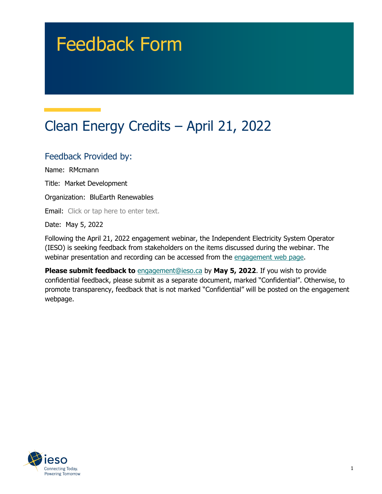# Feedback Form

## Clean Energy Credits – April 21, 2022

#### Feedback Provided by:

Name: RMcmann

Title: Market Development

Organization: BluEarth Renewables

Email: Click or tap here to enter text.

Date: May 5, 2022

Following the April 21, 2022 engagement webinar, the Independent Electricity System Operator (IESO) is seeking feedback from stakeholders on the items discussed during the webinar. The webinar presentation and recording can be accessed from the [engagement web page.](https://www.ieso.ca/en/Sector-Participants/Engagement-Initiatives/Engagements/Clean-Energy-Credits)

**Please submit feedback to** [engagement@ieso.ca](mailto:engagement@ieso.ca) by **May 5, 2022**. If you wish to provide confidential feedback, please submit as a separate document, marked "Confidential". Otherwise, to promote transparency, feedback that is not marked "Confidential" will be posted on the engagement webpage.

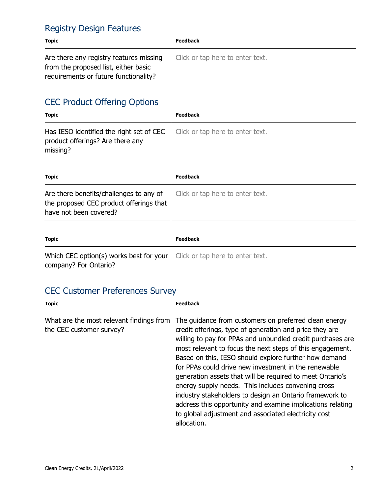#### Registry Design Features

| <b>Topic</b>                                                                                                             | <b>Feedback</b>                  |
|--------------------------------------------------------------------------------------------------------------------------|----------------------------------|
| Are there any registry features missing<br>from the proposed list, either basic<br>requirements or future functionality? | Click or tap here to enter text. |

#### CEC Product Offering Options

| <b>Topic</b>                                                                                                                | <b>Feedback</b> |
|-----------------------------------------------------------------------------------------------------------------------------|-----------------|
| Has IESO identified the right set of CEC   Click or tap here to enter text.<br>product offerings? Are there any<br>missing? |                 |

| <b>Topic</b>                                                                                                 | <b>Feedback</b>                  |
|--------------------------------------------------------------------------------------------------------------|----------------------------------|
| Are there benefits/challenges to any of<br>the proposed CEC product offerings that<br>have not been covered? | Click or tap here to enter text. |

| <b>Topic</b>                                                                                              | <b>Feedback</b> |
|-----------------------------------------------------------------------------------------------------------|-----------------|
| Which CEC option(s) works best for your $\vert$ Click or tap here to enter text.<br>company? For Ontario? |                 |

#### CEC Customer Preferences Survey

| <b>Topic</b>                                                         | <b>Feedback</b>                                                                                                                                                                                                                                                                                                                                                                                                                                                                                                                                                                                                                                                                 |
|----------------------------------------------------------------------|---------------------------------------------------------------------------------------------------------------------------------------------------------------------------------------------------------------------------------------------------------------------------------------------------------------------------------------------------------------------------------------------------------------------------------------------------------------------------------------------------------------------------------------------------------------------------------------------------------------------------------------------------------------------------------|
| What are the most relevant findings from<br>the CEC customer survey? | The guidance from customers on preferred clean energy<br>credit offerings, type of generation and price they are<br>willing to pay for PPAs and unbundled credit purchases are<br>most relevant to focus the next steps of this engagement.<br>Based on this, IESO should explore further how demand<br>for PPAs could drive new investment in the renewable<br>generation assets that will be required to meet Ontario's<br>energy supply needs. This includes convening cross<br>industry stakeholders to design an Ontario framework to<br>address this opportunity and examine implications relating<br>to global adjustment and associated electricity cost<br>allocation. |